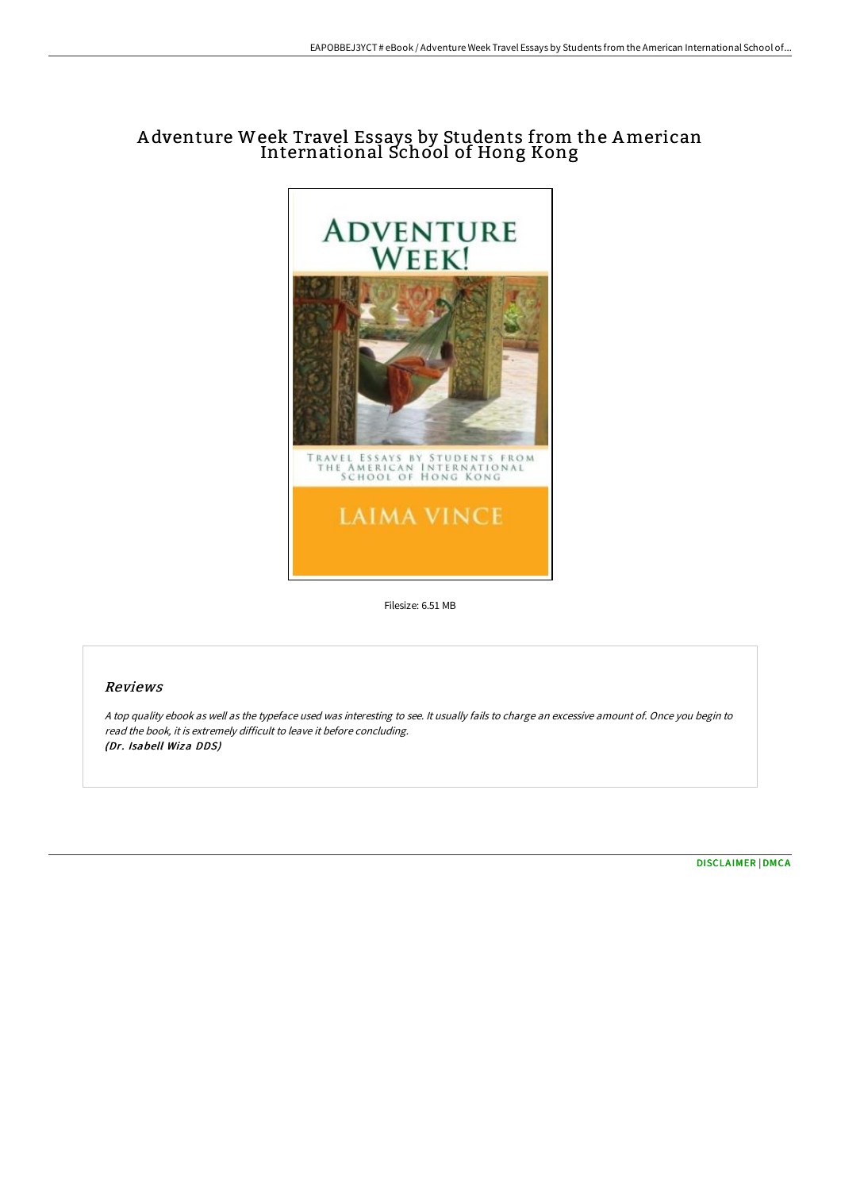## A dventure Week Travel Essays by Students from the American International School of Hong Kong



Filesize: 6.51 MB

## Reviews

<sup>A</sup> top quality ebook as well as the typeface used was interesting to see. It usually fails to charge an excessive amount of. Once you begin to read the book, it is extremely difficult to leave it before concluding. (Dr. Isabell Wiza DDS)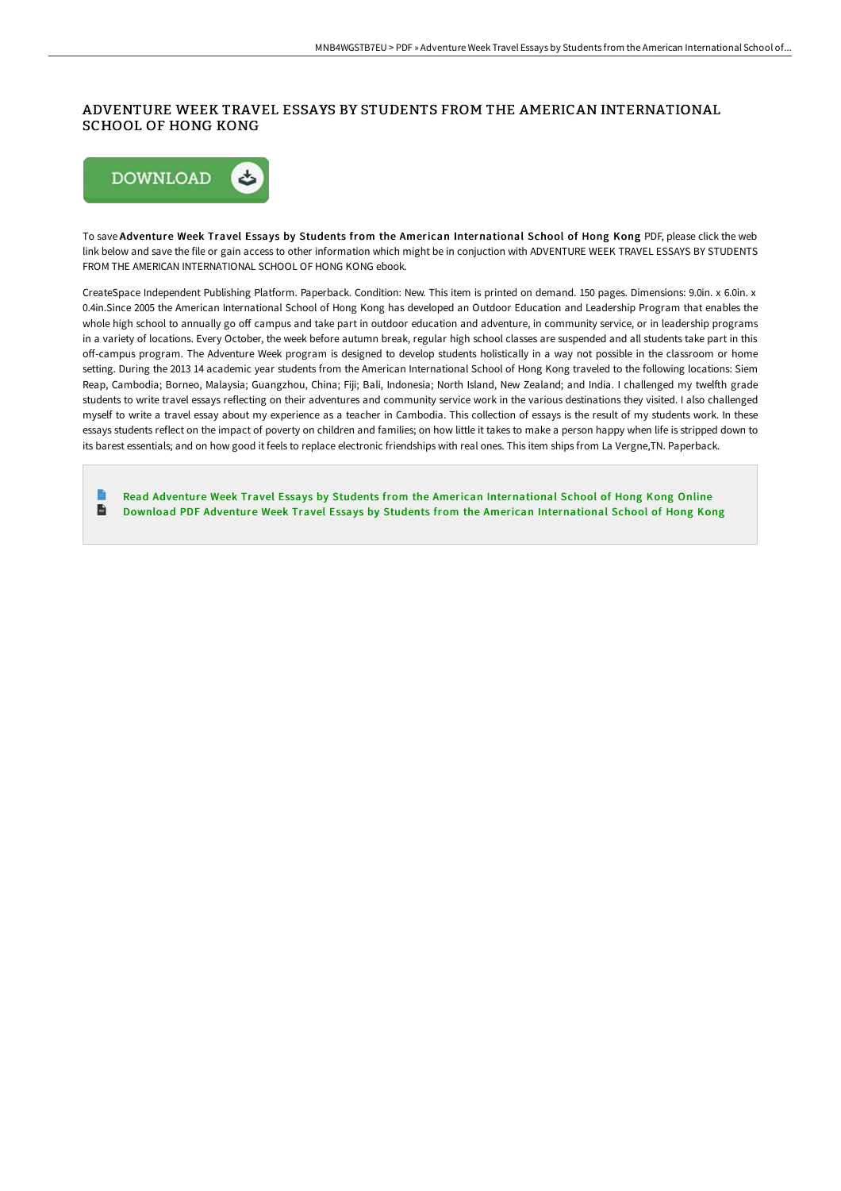## ADVENTURE WEEK TRAVEL ESSAYS BY STUDENTS FROM THE AMERICAN INTERNATIONAL SCHOOL OF HONG KONG



To save Adventure Week Travel Essays by Students from the American International School of Hong Kong PDF, please click the web link below and save the file or gain access to other information which might be in conjuction with ADVENTURE WEEK TRAVEL ESSAYS BY STUDENTS FROM THE AMERICAN INTERNATIONAL SCHOOL OF HONG KONG ebook.

CreateSpace Independent Publishing Platform. Paperback. Condition: New. This item is printed on demand. 150 pages. Dimensions: 9.0in. x 6.0in. x 0.4in.Since 2005 the American International School of Hong Kong has developed an Outdoor Education and Leadership Program that enables the whole high school to annually go off campus and take part in outdoor education and adventure, in community service, or in leadership programs in a variety of locations. Every October, the week before autumn break, regular high school classes are suspended and all students take part in this oF-campus program. The Adventure Week program is designed to develop students holistically in a way not possible in the classroom or home setting. During the 2013 14 academic year students from the American International School of Hong Kong traveled to the following locations: Siem Reap, Cambodia; Borneo, Malaysia; Guangzhou, China; Fiji; Bali, Indonesia; North Island, New Zealand; and India. I challenged my twelfth grade students to write travel essays reflecting on their adventures and community service work in the various destinations they visited. I also challenged myself to write a travel essay about my experience as a teacher in Cambodia. This collection of essays is the result of my students work. In these essays students reflect on the impact of poverty on children and families; on how little it takes to make a person happy when life is stripped down to its barest essentials; and on how good it feels to replace electronic friendships with real ones. This item ships from La Vergne,TN. Paperback.

Read Adventure Week Travel Essays by Students from the American [International](http://techno-pub.tech/adventure-week-travel-essays-by-students-from-th.html) School of Hong Kong Online  $\overrightarrow{116}$ Download PDF Adventure Week Travel Essays by Students from the American [International](http://techno-pub.tech/adventure-week-travel-essays-by-students-from-th.html) School of Hong Kong